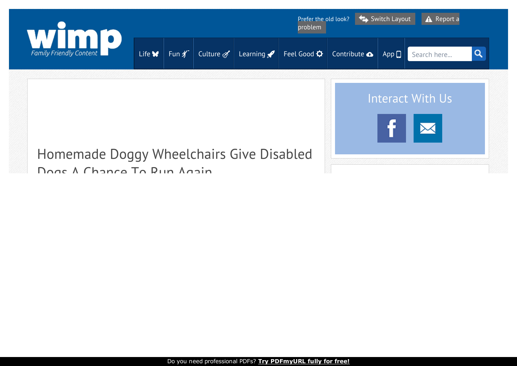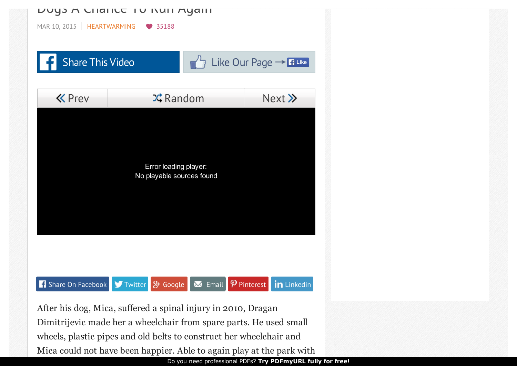

Dimitrijevic made her a wheelchair from spare parts. He used small wheels, plastic pipes and old belts to construct her wheelchair and Mica could not have been happier. Able to again play at the park with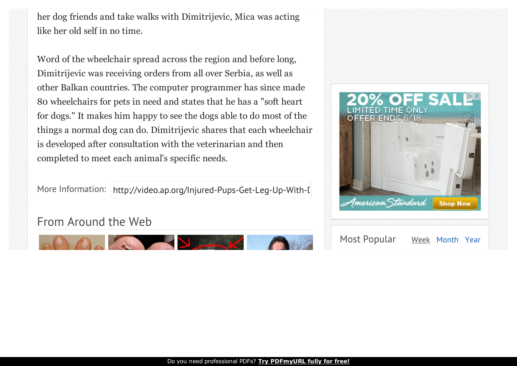her dog friends and take walks with Dimitrijevic, Mica was acting like her old self in no time.

Word of the wheelchair spread across the region and before long, Dimitrijevic was receiving orders from all over Serbia, as well as other Balkan countries. The computer programmer has since made 80 wheelchairs for pets in need and states that he has a "soft heart for dogs." It makes him happy to see the dogs able to do most of the things a normal dog can do. Dimitrijevic shares that each wheelchair is developed after consultation with the veterinarian and then completed to meet each animal's specific needs.

More Information: http://video.ap.org/Injured-Pups-Get-Leg-Up-With-[

## From Around the Web



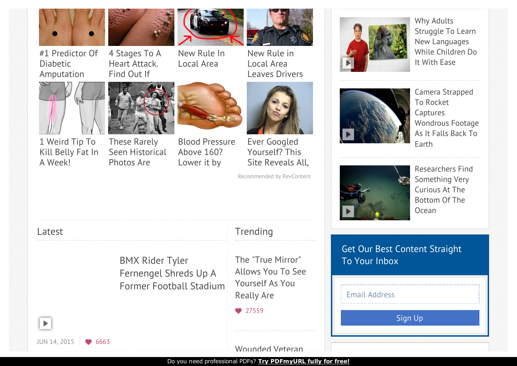

#1 Predictor Of

Diabetic

[Amputation](http://trends.revcontent.com/click.php?d=eJwdVIkNgzAMXMl%2F4nHib%2F8RaqqKghQS3wtBFxYcPYiN9EDP1ayjokiHH2Rj9jkmMM%2BJO%2B%2BFhAtelRb5LkO9KGdrT57zml6OOji8xyGkozA5%2B3ZyePERNFQbg%2BSnUvTmmSeKBpwwL20lOk3HbrHdbAkzQIoXdpXxpiNrHT%2B7QJpqHPQ67tNxFHy3DpHUrpbRO65yLvPdMXOQo6myAK4eOJnGwOfD%2FNj3Dz3NQ4Vu1cc8rgcMNSHbk0RzIka5cyRfTKTHyzvATriydK1Mia%2F2x6FN1BB9ucb7rCShd8eXdNQceFl8QRevaN0evF42Xicj9YH4fJhGaKVttJH4T2soCC5ctZd4JA3ZM6KUXBcv9BxP8K4L0pbqGvdEnLQWaBJxU%2B4xZKxwfDTyNwQXUK5dsrh7aRxNeu%2FShPp16TOxkiby7u9xSt84ML9VyeUkLPLoXHcuHLJzdrP3hikOSyihhCyLzQEy3aV1beIpc4wA8BMjt9BFFIGacUsXVsIxTe6mVbaeWVss4oC9yt%2BsX4MZi9NLsAEUSJ9CFI8y9T%2Bbx8E%2BO%2FYZWDZLLqBKF1Z%2Fv60DWQt4eR7zVUBLQWSTqigm5I%2FrLUXLWEMs1qg9aC%2FeKE1nKKJ399M%2BhG%2BgiDZDbxYPBwi6qteKueQq4GJO7oY9ZQW7e%2FoD%2FBIJ%2BdcvAz2CJE1vkh%2B90%2FL6yaB9qCdBi0UFTuved6yf84LXVZhAhESlQdhG9ba67i69rpnrCmpi91Gd2b7f1I2LbyVJm%2BVmyk4rqr47%2FsL2921NjnDHLAwPvL2b8tmj40XLNbcsfBkBU6p31H4ctsdLJy7HBnbbbEzwcWUwS%2B%2Bh%2FVB81bYfJKE%2FsQ%3D%3D)

1 Weird Tip To Kill Belly Fat In

A [Week!](http://trends.revcontent.com/click.php?d=eJwVVMkBxCAIbAnlknIQpP8SMnltNgfOyX5X3nOi%2B4hPy%2Bz3blFPXaVkeyacl5%2BFb3floBWHtXW5OxUdX%2B9JEpFcjJBxk86W8tPJ3aNnvxPLx%2FRkvnNDT%2Fu%2Bc5vVjuI%2Fxa7Ch7bL7JFNq5i%2BxTibjK6T2%2FAJgLhEO8VyDTvXAXLvNR0pw%2FrucxnlJYDKmNYbvHzE%2BapmtL4NJl0lSs5yo17Tksfsx0j22XvfQ2ds6NRNa5qr%2Fl6HyEomZqsIuwE23etGdNKq4g2tdis%2BYMmZTWtyjO86lKrPzlaCBgfH38NNdrJO5Doy0Rsc7MUdFi%2F2S5U5pB2197qWkBI0Xq1jghfzAf4SiWTdbMf2jQ0Qct3Utc1mTp%2BgPorLjGwWNhoQxR2LBYej52XxOIT0tXbfYlmUaecBO9hFh0sBd%2FB%2BUuWvbR8g1rgbz4hLC%2BLeKYiblZ7e0LbT%2FRmc5eJDo6mcxiRn1s79AtomInS8zIPBntse96lRpxQ5OJtrwmv3%2BBLMnofDJ0KTdERyD3M7v2OdRmuNIojljAlVZIubQQQpDuNgA%2BC7sxoRCuABnfMkju%2B3zDgD2YQCe7m9zirdb45Kqcepk5uU53HRNThXSQ%2BezXquDsNrH%2FvTj4NfL93IJNIO0qcYxZEKx6OBpXoCPkcN2ByimEdbrwe6ZKcR3RfAd3kjaLIg5er1nz4jSPyyXrXvq7qEoIVwFYYlZEawNgqgFU8Ms0Vh7xgIR5ycbSEHhU5xH516EGIOQXlb%2FnIQL1JzXpcvoelo7pGmPaMY5ijxRCIvobXE4YZCoJ2ziq%2FcI2chwt5lN5c%2Btllo70KxqsKIW57trfgZJCdB%2BgHO%2Buty22PDt13e195qu6ILr3URooEl0oaYkZIIR6LBDwvFARzJXLA4yWXnoscLuVVUHwVFC1BDyQ4sB4Ck8rhnXTQbPTZCPgTpJ9x8uxaatly6zy%2FlVePfuLcQRfQckFwF1ctbcJ4Gbv0rbyX2YP1HLNWF%2FeX5diAR6dgfMFd5%2FxV61%2B%2FS4dZBS4%2BuxQ9Mjs0OJBLjN2HpgoJAJJhyMqa490U%2FHPW%2BH%2F4ciSo%3D)



Heart [Attack.](http://trends.revcontent.com/click.php?d=eJwVk8cVwDAIQ1eiGAPj2Bj2HyHKIeWlAJI%2BahxEc%2Fg6rScS2XZx43Q5zPX46Opl8VgvPz0n3Otse4vP3lKH7L6Onc932BTpPJ9XtErUfN%2FFsXkmpWyfunLzxDmym2wo6bwunaqJ9k1SzTvzFq982dud4%2BzFHK%2BphPCbLmMXrVTvuFpRHhJN67xJPkPTe6nRDuF%2BZMyy%2FVx9kRPsdWNb%2BpTkWYMrzkdEx2XdrqBN3o6vy2Qi6RLddwdN16CfoJsPux%2BJdU56Xw3t8exi9p1WxdDElqVXJHfVbiM%2B13UfejvlJButuxfBkiyW96Zh0OrE01Kk8NQ2LRF0bNyEYDw1lGm9s%2Fe5DQeCsk4gh5mgxSp3zOfAtsrV2osUtrivVQpHdpwpnz2aCjHOtjE1Nb%2BqHivEXenoSavlWt90aCl7OTfvUzqLW%2BZ3zpLhVsCkxzVvmSFvoZQu6ouROx%2BtDRWPEoRM%2FE5Dfic7IUHChU8KjmDWfJcLD%2BjRvNSE59XrIICFyXa4DG9URTKBPvfYXx2DLkodHXFES4byyBu55UPRI0vvvbAjR5hiuNvB6qw%2FeCUgxiS23pPnrAwErNXwFf7yx7PtWorRxbsIAZkjWyF41FahJoSALOzBnH0FNBzLBK2pb2BLrsqwhnP%2FbJveSsBykVme7YxkRoDcrAaqb4AxD4XKKWCOptUtIWK69qp3GG4hrj%2B0yTFVgbzuHYkOAEBgLvxfbTEaWbX4hcWJOA%2Bbp4kafibhJkacirPK%2FiXEVp57AJWpO%2Fh7aXYzELhd3Rv4LwcdNKBZGUgaY5nBY8KKfwewv4duUGGmFRvrBoEI89r7ALLRMZA%3D) Find Out If

These Rarely Seen [Historical](http://trends.revcontent.com/click.php?d=eJwdlNsRxSAIRFviIQrlgGD%2FJdzN%2FclkYhQ4u%2BvRzEntt3Ye2i5c3dUs%2B9J9%2BUjWsyWrzG9fvEtuiXVPElHu9icnc58bOkdo4wcZ4%2F4%2BZvS9vCriznvG6npD%2BqljzVPz3PGjsc4SKZU67mzLaLl7Z4ZnMKd6uZV0Ei9a6W8tsprd6rJGWHBw3jvKOtJsaG8oNEIZJ8y80rIeN77ui%2BhKeZWdmzGda57k7NM6e9%2Bmk7fOO0qjQxyiawFOgwVr9n4X61piq4pOjFcQK9O7m4Ly%2FgF6R31cJM5L6mnHY90nlfVeL%2Bz35tK1xzrLrp65d%2BsJ87U36IaiKjVJ74WNKtG6TuxTkRGYK2zxBYNbmx%2FfOGjeoFpvO29MyKxvGPN7vl4HaBpQ7npn5QbYV23HNClQYLkm%2Fq%2FrKKk9wH1ACVWpOZbqo%2FAuFPKr2rm3it49D1QTTlETDMd6WhoKPCbmbxrMcCQNo9k7UeQiyk0DX0C%2Bqk9BVrsicEDO4UMh%2B8wsfV7wZfjqsikpSuMgT3ov0gMmtfsGrAXWM2xdkTL87sJYsME%2B59pnxvhgvT1rhixWAMDr132Efa9At5uIe9BEpx2tJfvB4%2BcQD3yANhMwzdGcPx84HqXlanUVb1RSgY9FNa%2BBAA699633eHKdvka1aovYgUKnbFvjXIoL4wK2MCDdcHrf%2Bz4B35rjaepv9huOD96B5U%2Fz2hADrk8%2BX%2B5eT%2BTaVFdp8wgtXZnQD2lUt%2FAL%2B%2BlGL2h5HYf2DXciwupI8NjCp54KhuOR1UuIXWad8JEheArLPFsvuSNhgc7ZGbaH5PUmd7C2BdXOTR9WyRWIl%2B8Ws7IVJN89MR75DHErTMrD%2BTVDODLpToChG2QBjjJEroGyXhBuiigoKP5sI%2BQnkOvNPiee2Ui452L7Lh8E7ynfW3wuHUQVN8wpbVnXMOqQ6mHCbAedUy9jwo%2BYOqfgTtmIl%2Ffbd98CbkNQIQEUhIHvg9jYbe%2FtEsGNBn%2FnxVWy1w9qP27v)

Photos Are

You are At Risk -Watch Video



[Local](http://trends.revcontent.com/click.php?d=eJwdlNsNQzEIQ1ci4T0OSWD%2FEerbj0qRcgvm2KSSmp2tr%2BSK1iEy4mu0Ii13nGaz5eyzT87TrefNleXKEyJJj7fuUnpXc%2FjJZA%2F7%2FyizK1S6houuP9nLo11ubzM9VLYltikH%2BigZuvjt3NTfTd9S26u9U4YKNzvcfIn76j1stQffRN%2BzfC6%2FB5HQNk4RqKBP6tykPUaq3XZ81%2BO59nLuc3%2Fle7%2BD%2Bn6r77xmsQMI1m9H7EdmI2y8ljw56zXd2Dh28YPseZ7PO8qcOFnLCVK54raWKJMuaNGDNo%2BUlE%2BskEcyNiBJpWj2MGCOHYmcoxdtzyrKdXPLttcRZgdIFsXnTe22i3ais7m2Voc9ynO3TkwJv7ohBD3jQLs6hw6dPRq2Dx%2BTNtViWfteM3faZLJv8e27FIga6kO7SmDyOgZAdR4o9vjKDDtXXY61yqzRHlQBljU0FMeZc8FUBY9h2N5we6mf15cehLAKoPe0QKZb1okPvvvHbZ9LmhKWsnqWLXpP0IeF6fvnvV6s1ly5SLKfMfGpNMWFNKLgBNFAFkk1I2uAaZBfMPRDyb7vHMc4AdH1%2BX0iJn1Wv1mEUFXk0j4tZMNKRBCVE566%2FG4ZzH3ew3EQsW4C45i9is%2BXDGNYXgt8r3C8YyqlfDkODB9B7i6vt3fGdGEdIGGwbYMVaY%2BCSxgBtRdWR%2FNpXZ2Dxcy9O18ehOdh9za6NCoXgQzYxIY7DsrJVUjVZ64GQpcWBOX9dNYNd2xsC6bVqoepwZ4P4YtM2HZ3XfxWcF2GBAGx3IgI2EPUxVrbG1oYDg7EPYDpvHJ0EJaX8h5mu%2B14Kvxahi60S0doABcPCQxoWFrluWx7INB4VHavbxF0GghXXSzpxug%2Bn%2BYfqiVCgQ%3D%3D) Area

Blood [Pressure](http://trends.revcontent.com/click.php?d=eJwdlIcRwzAMA1eiGss4rPuPEDhJLuezLYoEHhI9Gi%2BFjKjUdM7wm9V0hHjNpT63n0dEid5WMY%2B7g17JC6es6DQ708OUIYc4dm9qcuqdax%2FW5eO2ilToLXy1jeKacdVpm9s9sVp6WyZdMt0s8XzfVcWpY35429hIEL87K1rT90nJtr6XnLvvmr3EcqdXzrg2B1OsKDRkMil1dBb6jDJSFEpMh%2BbuvZIm1zdWeWtdXll5QntxzBzClhJDtt7TjDfMbqb1jc3rRW2sX74287lpjxaxPT5T%2BQr3Wunudx5RvqPqnPuN3n2zJnRnsZ%2BiIlcUs2clF8OUS9aOkOeMDdRfUT89EHlTwpe3HDpsmWO1aXdNvnltQvtAWxbF1OhGMMtdFGS33tRs%2BGy%2B4MH4GJp1OhCOoYjCjLV2paP%2BhqFCyeKinHVh1canLsrP2Cfq6XNg1qtjkV0rQFEe2GXJM%2BHLaL%2BFiw5aN3eci5JSV8Qe0EBXgcHi6gFv57GYauJ%2BDPfeN%2FrW2lujAw7hB1CT%2BT06gIPX7Qza6E4KXIXk1HsFGYl3johMGOiosw4I7IFft8dJYROVyJ7336gWoDkRzDlf%2BY%2BnlaS%2Bk2DAzrDG%2FzjAAlQsRZG0WtUORc9RyziDjGzZz%2BESEM%2FlyTYM9Or6lxOgU3FO3euL0WqZbbrPFlYZLyi5Y0DZTdEXI0o2lHYWLJZPrWwQL32wN%2Ba%2FyV6BJNpiF796D6Tw6U9kr4eEPRhrDQbfwwtABygT%2BmrqhTual0tdSIt4Lp7Vk6fwQKl2HYLoSAelypd42QJDtm%2B3U9oJAumCv9d%2BfJD9A58rhYuQJm4Ngb%2B54vWAjLLXVwo6IpZQfVGdDbQDEpADaljQAB%2ByIJFYSMFo9HDCDMz7Ktz57HWtU2FA3NWNWFiWQ9kPL4x86nCZYOzv8GiGx6nIoeCiHMshn%2Bv4RdEBkO%2BBEc2HQ89xXqWuxgnmGrEAfdllJHXlKHK%2BtiPTgichNXK53w8YFXG2) Above 160? Lower it by



New Rule in Local Area Leaves [Drivers](http://trends.revcontent.com/click.php?d=eJwdlMkVwyAMRFsSICFUjtb%2BS8g4h%2BTlgMMsfxysk%2FGSLfYLbtMVtFRsLU%2BKcjd5%2BV70abWTE2dHdrZUartLEu%2FsZ4fO2XVPX8nTdTxsj%2Fibt%2FZ%2BfbTOulZRY8K8lpjVtsv0jLaHvkpzPdaazpV7gjNVL5lU6zv1JqlPXicq6T2qI6pP%2BJ7kE8REE%2Fi3Lshl9nWER%2B7RtMd380CC2zO7%2B1VtznU5OTUj%2BfGD573XIqvM1n3ezR63ubiWzvCagcQrc30vVmonmWg2iRyCTglGZHqU34285YdfxTybKa4rjOB4Galuf%2B21FrxSxFovNMeLcRs9oa1RSpLbz9ZVZO9efomwT9Em6Uv7JnTUuwjtqRfd5%2BKncYm%2FBU2qSabBdHuFOaE%2FzR37KxMdoSsOreUrL%2Fn%2BrHWInX3uuUL9PSaKW1re67fI3%2Fap20Qei9Rq2Zm5fT1nIRzdmitPuNLuhIPwu3UMKva2TNTOKTjdED0isZr9DoE1WQQXOYfekK33ABU%2BtlePtCzum3z9hOLLVCDB18ZV15WRsR9Vc1v%2FbMtciL8Cp7nA497o6eB%2FDDbMYW9tcjkPGYLxVY5M%2Bs3WA%2F8OhE6eca%2BdSO1gA2s7ngGHBXL4ShVi3gTkFs5BBH1nhxtQSB9mfqYGaREpSHMiposW7DkWhvS9utP3nZlEQ8kdqMA9j7pehdgdJ64FZTQFuCAUs0DcPlwIZIu7YmsXNA8bdfO8xAqwDgXWmNUCiR%2F1u0dBe4kNdtTv4UR9xUH9zqxyDi5ceKMEjr%2BNg4nL2NU138nlVVIXOxALT%2Fh1tvM%2FB7JgfAmhr8froVbEsLB7dewlII4vwd8VowDnu0ErNjqpABk%2FjgGXPjf0a%2FmzxrMURJTawvFB1Bg7nZBCkwaOToHCivcS757K1fQNqdeKJ3cKg7l4leFFhikFmPiWTGL1VMDkYMyypXQwWjz1A0ksXvA%3D)



Ever Googled [Yourself?](http://trends.revcontent.com/click.php?d=eJwdVMkRwzAIbAmBuMqRAPVfQtZ5ZYxjYC9K%2FfXUoyt7drWMp1arRs6LsFW1nmzR1lWzztp5S0tsKpNu%2Bas%2BFmlxcyhYZ7Lcb3UceiLoW6bN1hGb86y04nzxSONERdlVvmurzraT%2FmLXeX5v8JPr953gXhKdi5r2tCnv3PmK6qntKxf%2FKaNK9jXGGfNeFOuulWwc2INGYkVrYoHUdiPP0jyb5jhJh8b4us79BBSso3pfqfjKIpWwcwDNRYz2vWrDflaZOAgYf8sWPsgnQK5vv76mtAGnysMXyEhfQt6O5p6C%2FcFbVobd186ezae4Qs9tXqufh%2FGWiung2sB%2B8aaARa%2F5uPj%2F0XtRpLhL3vTLJm85q1a4MwB24tfe3RfF%2FTalaq7jPLIJWMGWHimvsu3kPhZAeLc9ehxJ1ledAFcGoifppggBPeYs6RuiNEYZVLm7qYXhkaCyZFAgAl%2FYiQAVmDaooghSaN3ZKRnaEwE6X8FSIEs2dz7iQUGqiHPNWlFHN%2BieQC3vwsrPCfCTHrqUCPxx1OJkjRAX3UNeD9vBv4NlO2CYe91z6%2BuV2c8OCG4e%2BE94XTF7cc7A2L3pxJKnqtSMnew1jLgjRlzX%2BLT2KXjuvFkN72I6Hni71zDQztySz%2FI8KFi1r5Xrk0%2FUrZCPeh85gE8e%2ByBEO4cv3YZNH2%2FoqMcsY%2B0BlsFG%2BkT%2Fi%2B%2FUDaIzSAfEYmQQ1JJQwwpTiELNg4x6YKLTWXaAebAdRcOrsE%2BJF9N9ttFhx6sN3AxRiRJNeMFUJ21GHak6COZdve5KNWYCXQTTn8UPBAzk%2B1QzP0lxeBXY5HPA9eyBTZBx5CYkmDF73bveLuYLX6wIjJ4teEm2WRuKQKOZc%2FOe7y6UPsLJ8FAVWPBI3%2BO4RSxNh4y%2FwxCv4eVCFPLUZgE%2FN%2FaHDoPLr54g6LcOwAOvqxHMQrOCZPviroRGjcKs3KuFjA5yaLZ3xbLvs85993fB6NLBxbL3jsGM%2BV0QbsA8zwavGyAhq8IUgZGYfe9%2BA1ZL0RfRvvyU6jjOzkLfoxf5Ar5Cn8a5SSLYJx4OpTPCqIv0c6g%2FbC7dSbgYom9twu34AYFEjkI%3D) This Site Reveals All,

Doing This Easy Recommended by RevContent

<span id="page-3-0"></span>

Why Adults Struggle To Learn New Languages While Children Do It With Ease



Camera Strapped To Rocket **Captures** Wondrous Footage As It Falls Back To Earth



Researchers Find Something Very Curious At The Bottom Of The Ocean

|                      |                                                                                   |                                                                                                   | <b>Ocean</b>                                          |
|----------------------|-----------------------------------------------------------------------------------|---------------------------------------------------------------------------------------------------|-------------------------------------------------------|
| Latest               |                                                                                   | Trending                                                                                          |                                                       |
|                      | <b>BMX Rider Tyler</b><br>Fernengel Shreds Up A<br><b>Former Football Stadium</b> | The "True Mirror"<br>Allows You To See<br>Yourself As You<br><b>Really Are</b><br>$\bullet$ 27559 | <b>Get Our Best Content Straight</b><br>To Your Inbox |
|                      |                                                                                   |                                                                                                   | <b>Email Address</b>                                  |
|                      |                                                                                   |                                                                                                   | Sign Up                                               |
| JUN 14, 2015<br>6663 |                                                                                   |                                                                                                   |                                                       |

Do you need professional PDFs? **Try [PDFmyURL](http://pdfmyurl.com/request-trial?src=pdf) fully for free!**

Wounded Veteran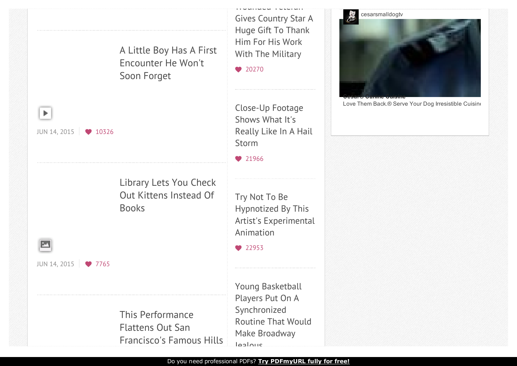

Do you need professional PDFs? **Try [PDFmyURL](http://pdfmyurl.com/request-trial?src=pdf) fully for free!**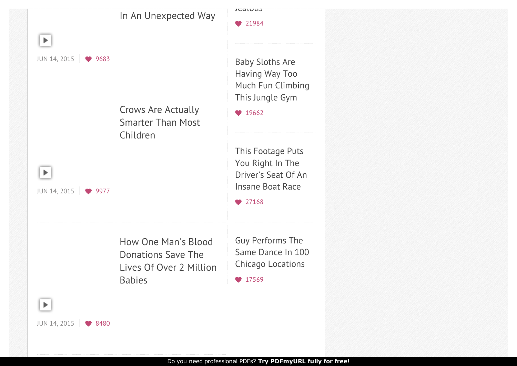